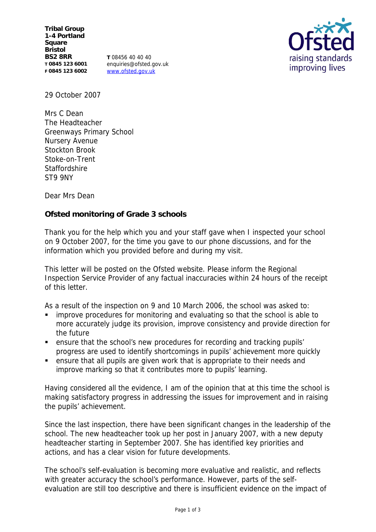**Tribal Group 1-4 Portland Square Bristol BS2 8RR T 0845 123 6001 F 0845 123 6002**

**T** 08456 40 40 40 enquiries@ofsted.gov.uk www.ofsted.gov.uk



29 October 2007

Mrs C Dean The Headteacher Greenways Primary School Nursery Avenue Stockton Brook Stoke-on-Trent **Staffordshire** ST9 9NY

Dear Mrs Dean

**Ofsted monitoring of Grade 3 schools** 

Thank you for the help which you and your staff gave when I inspected your school on 9 October 2007, for the time you gave to our phone discussions, and for the information which you provided before and during my visit.

This letter will be posted on the Ofsted website. Please inform the Regional Inspection Service Provider of any factual inaccuracies within 24 hours of the receipt of this letter.

As a result of the inspection on 9 and 10 March 2006, the school was asked to:

- improve procedures for monitoring and evaluating so that the school is able to more accurately judge its provision, improve consistency and provide direction for the future
- ensure that the school's new procedures for recording and tracking pupils' progress are used to identify shortcomings in pupils' achievement more quickly
- ensure that all pupils are given work that is appropriate to their needs and improve marking so that it contributes more to pupils' learning.

Having considered all the evidence, I am of the opinion that at this time the school is making satisfactory progress in addressing the issues for improvement and in raising the pupils' achievement.

Since the last inspection, there have been significant changes in the leadership of the school. The new headteacher took up her post in January 2007, with a new deputy headteacher starting in September 2007. She has identified key priorities and actions, and has a clear vision for future developments.

The school's self-evaluation is becoming more evaluative and realistic, and reflects with greater accuracy the school's performance. However, parts of the selfevaluation are still too descriptive and there is insufficient evidence on the impact of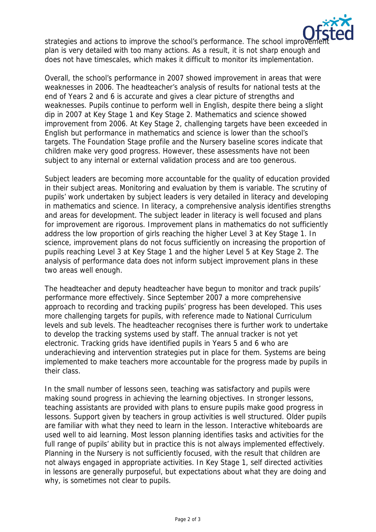

strategies and actions to improve the school's performance. The school improve plan is very detailed with too many actions. As a result, it is not sharp enough and does not have timescales, which makes it difficult to monitor its implementation.

Overall, the school's performance in 2007 showed improvement in areas that were weaknesses in 2006. The headteacher's analysis of results for national tests at the end of Years 2 and 6 is accurate and gives a clear picture of strengths and weaknesses. Pupils continue to perform well in English, despite there being a slight dip in 2007 at Key Stage 1 and Key Stage 2. Mathematics and science showed improvement from 2006. At Key Stage 2, challenging targets have been exceeded in English but performance in mathematics and science is lower than the school's targets. The Foundation Stage profile and the Nursery baseline scores indicate that children make very good progress. However, these assessments have not been subject to any internal or external validation process and are too generous.

Subject leaders are becoming more accountable for the quality of education provided in their subject areas. Monitoring and evaluation by them is variable. The scrutiny of pupils' work undertaken by subject leaders is very detailed in literacy and developing in mathematics and science. In literacy, a comprehensive analysis identifies strengths and areas for development. The subject leader in literacy is well focused and plans for improvement are rigorous. Improvement plans in mathematics do not sufficiently address the low proportion of girls reaching the higher Level 3 at Key Stage 1. In science, improvement plans do not focus sufficiently on increasing the proportion of pupils reaching Level 3 at Key Stage 1 and the higher Level 5 at Key Stage 2. The analysis of performance data does not inform subject improvement plans in these two areas well enough.

The headteacher and deputy headteacher have begun to monitor and track pupils' performance more effectively. Since September 2007 a more comprehensive approach to recording and tracking pupils' progress has been developed. This uses more challenging targets for pupils, with reference made to National Curriculum levels and sub levels. The headteacher recognises there is further work to undertake to develop the tracking systems used by staff. The annual tracker is not yet electronic. Tracking grids have identified pupils in Years 5 and 6 who are underachieving and intervention strategies put in place for them. Systems are being implemented to make teachers more accountable for the progress made by pupils in their class.

In the small number of lessons seen, teaching was satisfactory and pupils were making sound progress in achieving the learning objectives. In stronger lessons, teaching assistants are provided with plans to ensure pupils make good progress in lessons. Support given by teachers in group activities is well structured. Older pupils are familiar with what they need to learn in the lesson. Interactive whiteboards are used well to aid learning. Most lesson planning identifies tasks and activities for the full range of pupils' ability but in practice this is not always implemented effectively. Planning in the Nursery is not sufficiently focused, with the result that children are not always engaged in appropriate activities. In Key Stage 1, self directed activities in lessons are generally purposeful, but expectations about what they are doing and why, is sometimes not clear to pupils.